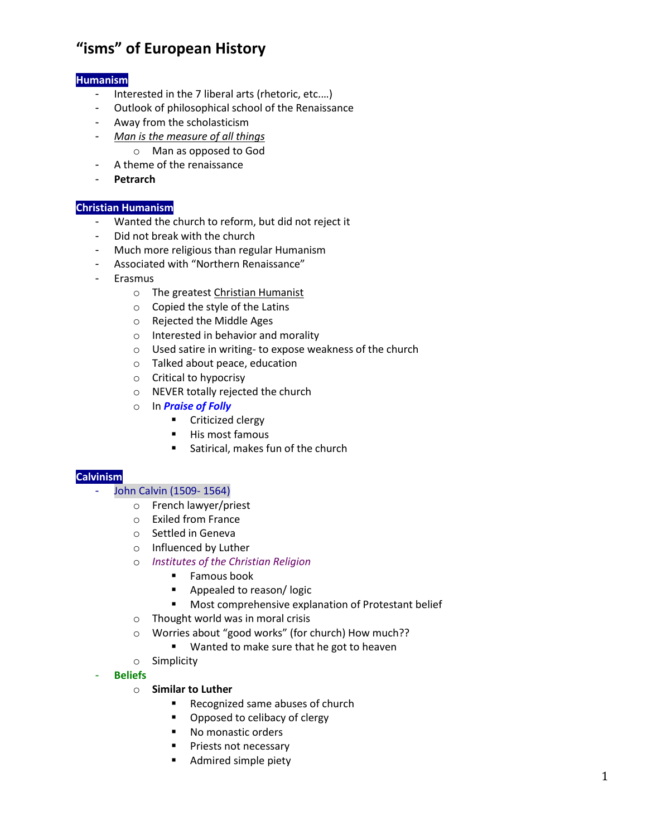# **"isms" of European History**

# **Humanism**

- Interested in the 7 liberal arts (rhetoric, etc....)
- Outlook of philosophical school of the Renaissance
- Away from the scholasticism
- *Man is the measure of all things*
	- o Man as opposed to God
- A theme of the renaissance
- **Petrarch**

#### **Christian Humanism**

- Wanted the church to reform, but did not reject it
- Did not break with the church
- Much more religious than regular Humanism
- Associated with "Northern Renaissance"
- Erasmus
	- o The greatest Christian Humanist
	- o Copied the style of the Latins
	- o Rejected the Middle Ages
	- o Interested in behavior and morality
	- o Used satire in writing- to expose weakness of the church
	- o Talked about peace, education
	- o Critical to hypocrisy
	- o NEVER totally rejected the church
	- o In *Praise of Folly*
		- **•** Criticized clergy
		- **His most famous**
		- Satirical, makes fun of the church

# **Calvinism**

- John Calvin (1509-1564)
	- o French lawyer/priest
	- o Exiled from France
	- o Settled in Geneva
	- o Influenced by Luther
	- o *Institutes of the Christian Religion*
		- **Famous book**
		- **Appealed to reason/logic**
		- **Most comprehensive explanation of Protestant belief**
	- o Thought world was in moral crisis
	- o Worries about "good works" (for church) How much??
		- **Wanted to make sure that he got to heaven**
	- o Simplicity
- **Beliefs**

#### o **Similar to Luther**

- Recognized same abuses of church
- Opposed to celibacy of clergy
- No monastic orders
- **Priests not necessary**
- **Admired simple piety**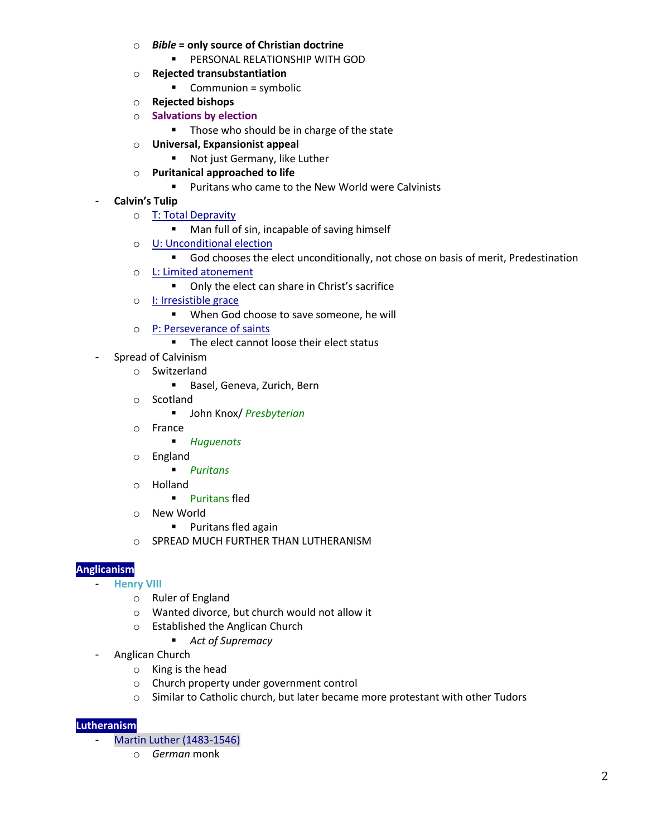- o *Bible* **= only source of Christian doctrine** 
	- **PERSONAL RELATIONSHIP WITH GOD**
- o **Rejected transubstantiation** 
	- Communion = symbolic
- o **Rejected bishops**
- o **Salvations by election**
	- **Those who should be in charge of the state**
- o **Universal, Expansionist appeal** 
	- Not just Germany, like Luther
- o **Puritanical approached to life**
	- **Puritans who came to the New World were Calvinists**
- **Calvin's Tulip**
	- o T: Total Depravity
		- Man full of sin, incapable of saving himself
	- o U: Unconditional election
		- God chooses the elect unconditionally, not chose on basis of merit, Predestination
	- o L: Limited atonement
		- **•** Only the elect can share in Christ's sacrifice
	- o I: Irresistible grace
		- **When God choose to save someone, he will**
	- o P: Perseverance of saints
		- The elect cannot loose their elect status
- Spread of Calvinism
	- o Switzerland
		- Basel, Geneva, Zurich, Bern
	- o Scotland
		- John Knox/ *Presbyterian*
	- o France
		- *Huguenots*
	- o England
		- *Puritans*
	- o Holland
		- **Puritans fled**
	- o New World
		- **Puritans fled again**
	- o SPREAD MUCH FURTHER THAN LUTHERANISM

#### **Anglicanism**

- **Henry VIII**
	- o Ruler of England
	- o Wanted divorce, but church would not allow it
	- o Established the Anglican Church
		- *Act of Supremacy*
- Anglican Church
	- o King is the head
	- o Church property under government control
	- o Similar to Catholic church, but later became more protestant with other Tudors

#### **Lutheranism**

- Martin Luther (1483-1546)
	- o *German* monk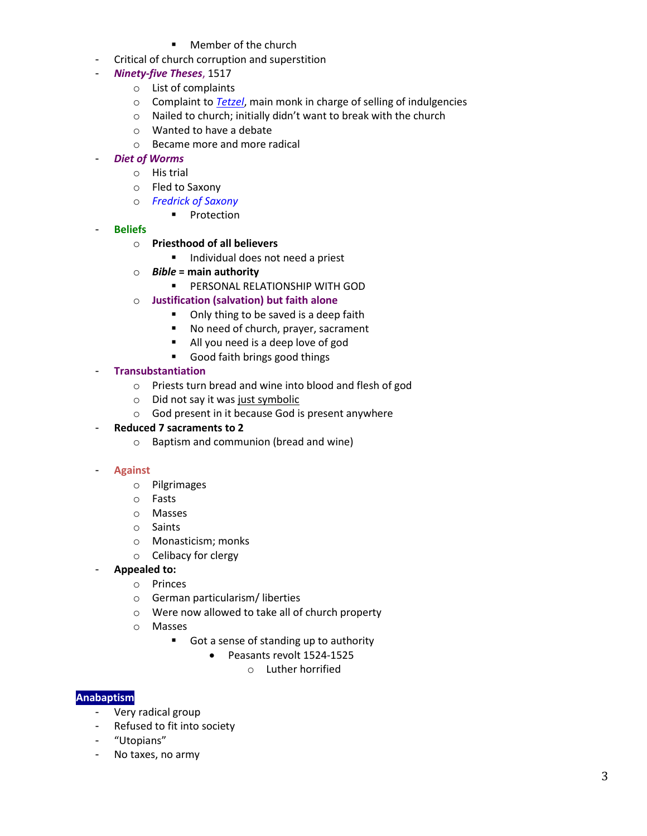- Member of the church
- Critical of church corruption and superstition

# - *Ninety-five Theses*, 1517

- o List of complaints
- o Complaint to *Tetzel*, main monk in charge of selling of indulgencies
- o Nailed to church; initially didn't want to break with the church
- o Wanted to have a debate
- o Became more and more radical

# - *Diet of Worms*

- o His trial
- o Fled to Saxony
- o *Fredrick of Saxony*
	- **•** Protection
- **Beliefs** 
	- o **Priesthood of all believers**
		- Individual does not need a priest
	- o *Bible* **= main authority** 
		- **PERSONAL RELATIONSHIP WITH GOD**
	- o **Justification (salvation) but faith alone** 
		- Only thing to be saved is a deep faith
		- No need of church, prayer, sacrament
		- All you need is a deep love of god
		- Good faith brings good things

# - **Transubstantiation**

- o Priests turn bread and wine into blood and flesh of god
- o Did not say it was just symbolic
- o God present in it because God is present anywhere
- **Reduced 7 sacraments to 2**
	- o Baptism and communion (bread and wine)

#### - **Against**

- o Pilgrimages
- o Fasts
- o Masses
- o Saints
- o Monasticism; monks
- o Celibacy for clergy
- **Appealed to:**
	- o Princes
	- o German particularism/ liberties
	- o Were now allowed to take all of church property
	- o Masses
		- Got a sense of standing up to authority
			- Peasants revolt 1524-1525
				- o Luther horrified

#### **Anabaptism**

- Very radical group
- Refused to fit into society
- "Utopians"
- No taxes, no army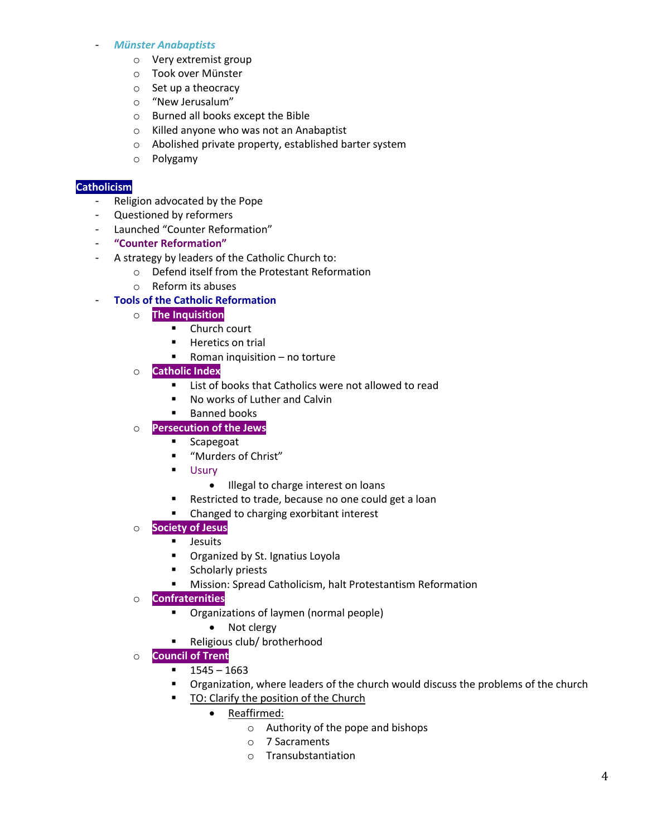#### - *Münster Anabaptists*

- o Very extremist group
- o Took over Münster
- o Set up a theocracy
- o "New Jerusalum"
- o Burned all books except the Bible
- o Killed anyone who was not an Anabaptist
- o Abolished private property, established barter system
- o Polygamy

# **Catholicism**

- Religion advocated by the Pope
- Questioned by reformers
- Launched "Counter Reformation"
- **"Counter Reformation"**
- A strategy by leaders of the Catholic Church to:
	- o Defend itself from the Protestant Reformation
		- o Reform its abuses

# - **Tools of the Catholic Reformation**

- o **The Inquisition**
	- **E** Church court
	- **Heretics on trial**
	- Roman inquisition  $-$  no torture
- o **Catholic Index**
	- List of books that Catholics were not allowed to read
	- No works of Luther and Calvin
	- **Banned books**

# o **Persecution of the Jews**

- **Scapegoat**
- "Murders of Christ"
- **Usury** 
	- Illegal to charge interest on loans
- **Restricted to trade, because no one could get a loan**
- Changed to charging exorbitant interest
- o **Society of Jesus**
	- **Jesuits**
	- **•** Organized by St. Ignatius Loyola
	- **Scholarly priests**
	- Mission: Spread Catholicism, halt Protestantism Reformation
- o **Confraternities**
	- **•** Organizations of laymen (normal people)
		- Not clergy
	- Religious club/ brotherhood
- o **Council of Trent**
	- $-1545 1663$
	- Organization, where leaders of the church would discuss the problems of the church
	- **TO:** Clarify the position of the Church
		- Reaffirmed:
			- o Authority of the pope and bishops
			- o 7 Sacraments
			- o Transubstantiation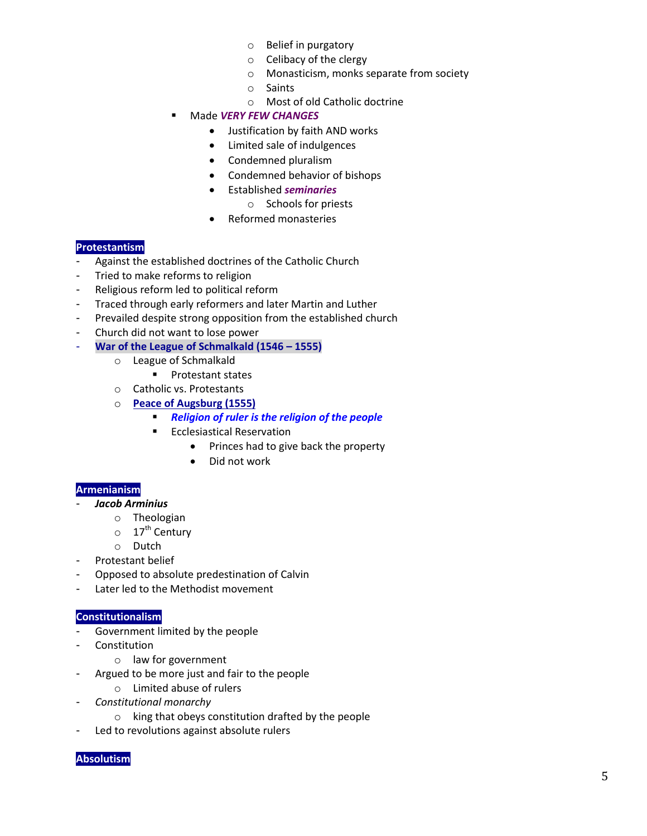- o Belief in purgatory
- o Celibacy of the clergy
- o Monasticism, monks separate from society
- o Saints
- o Most of old Catholic doctrine
- Made *VERY FEW CHANGES*
	- Justification by faith AND works
	- Limited sale of indulgences
	- Condemned pluralism
	- Condemned behavior of bishops
	- Established *seminaries*
		- o Schools for priests
	- Reformed monasteries

# **Protestantism**

- Against the established doctrines of the Catholic Church
- Tried to make reforms to religion
- Religious reform led to political reform
- Traced through early reformers and later Martin and Luther
- Prevailed despite strong opposition from the established church
- Church did not want to lose power
	- **War of the League of Schmalkald (1546 – 1555)**
		- o League of Schmalkald
			- **Protestant states**
		- o Catholic vs. Protestants
		- o **Peace of Augsburg (1555)**
			- *Religion of ruler is the religion of the people*
			- **Ecclesiastical Reservation** 
				- Princes had to give back the property
				- Did not work

# **Armenianism**

- *Jacob Arminius* 
	- o Theologian
	- $\circ$  17<sup>th</sup> Century
	- o Dutch
- Protestant belief
- Opposed to absolute predestination of Calvin
- Later led to the Methodist movement

## **Constitutionalism**

- Government limited by the people
- Constitution
	- o law for government
- Argued to be more just and fair to the people
	- o Limited abuse of rulers
- *Constitutional monarchy*
	- o king that obeys constitution drafted by the people
- Led to revolutions against absolute rulers

#### **Absolutism**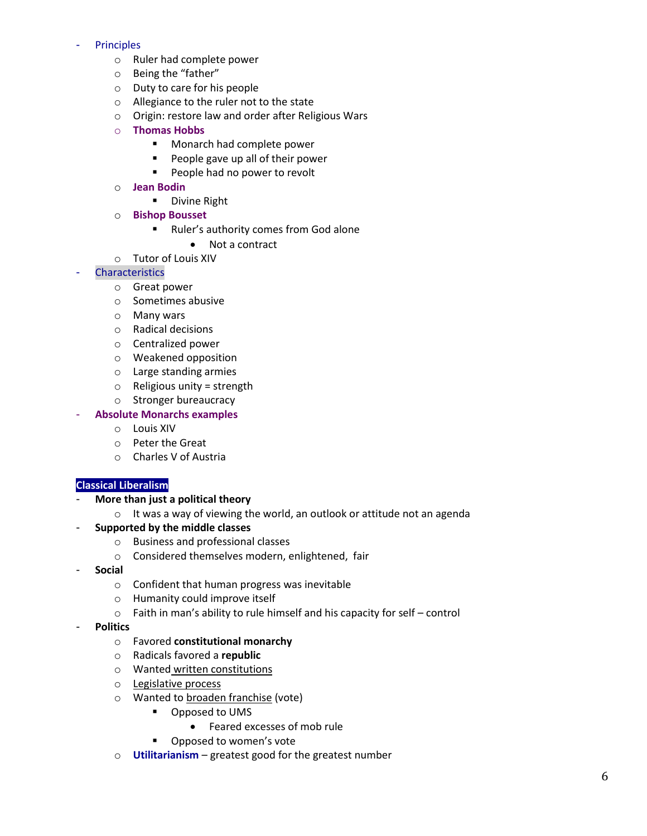#### **Principles**

- o Ruler had complete power
- o Being the "father"
- o Duty to care for his people
- o Allegiance to the ruler not to the state
- o Origin: restore law and order after Religious Wars
- o **Thomas Hobbs** 
	- **Monarch had complete power**
	- **People gave up all of their power**
	- **People had no power to revolt**
- o **Jean Bodin** 
	- **Divine Right**
- o **Bishop Bousset** 
	- Ruler's authority comes from God alone
		- Not a contract
- o Tutor of Louis XIV

# **Characteristics**

- o Great power
- o Sometimes abusive
- o Many wars
- o Radical decisions
- o Centralized power
- o Weakened opposition
- o Large standing armies
- $\circ$  Religious unity = strength
- o Stronger bureaucracy
- **Absolute Monarchs examples** 
	- o Louis XIV
	- o Peter the Great
	- o Charles V of Austria

#### **Classical Liberalism**

- **More than just a political theory**
	- o It was a way of viewing the world, an outlook or attitude not an agenda
- **Supported by the middle classes** 
	- o Business and professional classes
	- o Considered themselves modern, enlightened, fair
- **Social**
	- o Confident that human progress was inevitable
	- o Humanity could improve itself
	- o Faith in man's ability to rule himself and his capacity for self control
- **Politics** 
	- o Favored **constitutional monarchy**
	- o Radicals favored a **republic**
	- o Wanted written constitutions
	- o Legislative process
	- o Wanted to broaden franchise (vote)
		- **•** Opposed to UMS
			- Feared excesses of mob rule
		- **•** Opposed to women's vote
	- o **Utilitarianism** greatest good for the greatest number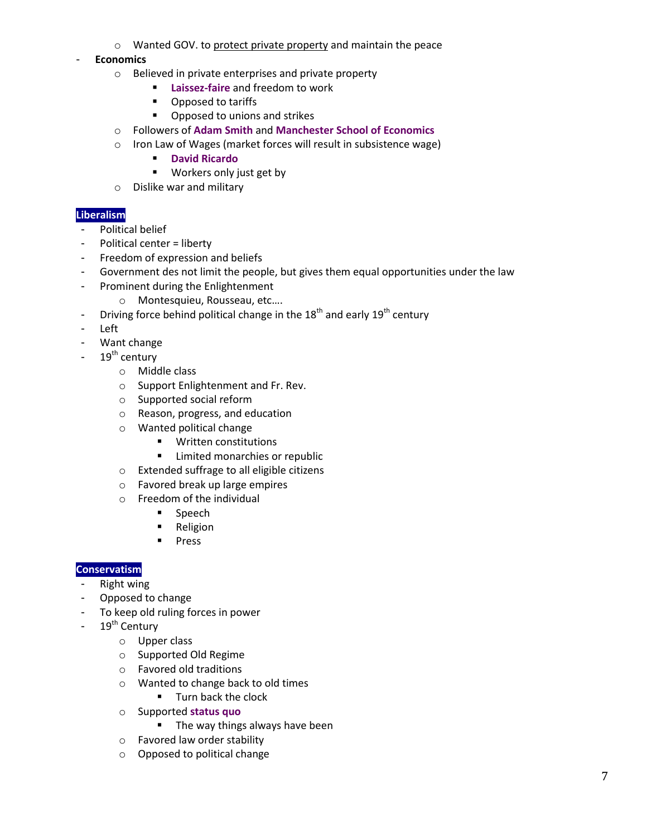o Wanted GOV. to protect private property and maintain the peace

- **Economics** 

- o Believed in private enterprises and private property
	- **Laissez-faire** and freedom to work
	- Opposed to tariffs
	- **•** Opposed to unions and strikes
- o Followers of **Adam Smith** and **Manchester School of Economics**
- o Iron Law of Wages (market forces will result in subsistence wage)
	- **David Ricardo**
	- **Workers only just get by**
- o Dislike war and military

# **Liberalism**

- Political belief
- Political center = liberty
- Freedom of expression and beliefs
- Government des not limit the people, but gives them equal opportunities under the law
- Prominent during the Enlightenment
	- o Montesquieu, Rousseau, etc….
- Driving force behind political change in the  $18<sup>th</sup>$  and early  $19<sup>th</sup>$  century
- Left
- Want change
- $19<sup>th</sup>$  century
	- o Middle class
	- o Support Enlightenment and Fr. Rev.
	- o Supported social reform
	- o Reason, progress, and education
	- o Wanted political change
		- **Written constitutions**
		- **EXECUTE:** Limited monarchies or republic
	- o Extended suffrage to all eligible citizens
	- o Favored break up large empires
	- o Freedom of the individual
		- **Speech**
		- **Religion**
		- **Press**

#### **Conservatism**

- **Right wing**
- Opposed to change
- To keep old ruling forces in power
- $-19^{th}$  Century
	- o Upper class
		- o Supported Old Regime
		- o Favored old traditions
		- o Wanted to change back to old times
			- **Turn back the clock**
		- o Supported **status quo**
			- **The way things always have been**
		- o Favored law order stability
		- o Opposed to political change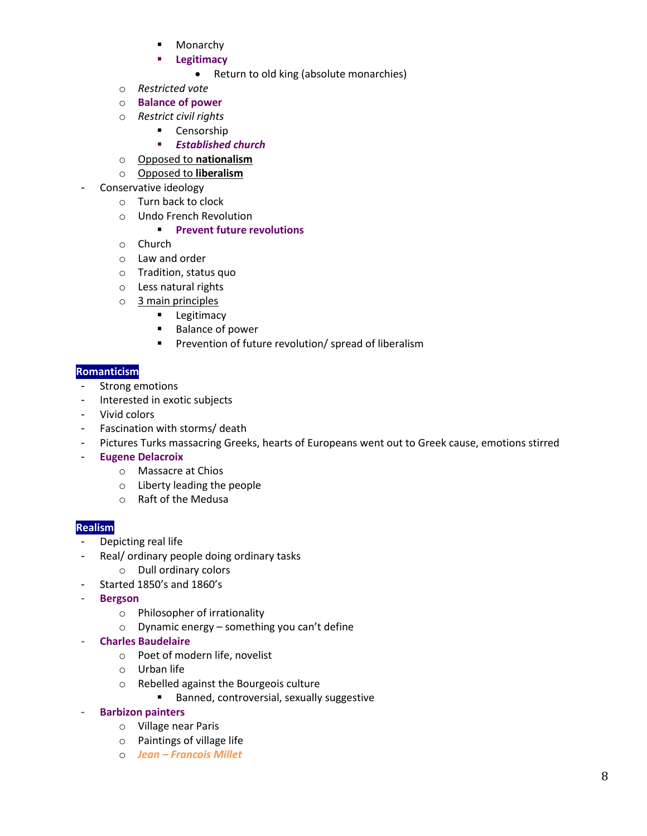- Monarchy
- **Legitimacy** 
	- Return to old king (absolute monarchies)
- o *Restricted vote*
- o **Balance of power**
- o *Restrict civil rights* 
	- **-** Censorship
	- *Established church*
- o Opposed to **nationalism**
- o Opposed to **liberalism**
- Conservative ideology
	- o Turn back to clock
	- o Undo French Revolution

# **Prevent future revolutions**

- o Church
- o Law and order
- o Tradition, status quo
- o Less natural rights
- o 3 main principles
	- **Legitimacy**
	- Balance of power
	- **Prevention of future revolution/ spread of liberalism**

## **Romanticism**

- Strong emotions
- Interested in exotic subjects
- Vivid colors
- Fascination with storms/ death
- Pictures Turks massacring Greeks, hearts of Europeans went out to Greek cause, emotions stirred
- **Eugene Delacroix** 
	- o Massacre at Chios
	- o Liberty leading the people
	- o Raft of the Medusa

#### **Realism**

- Depicting real life
- Real/ ordinary people doing ordinary tasks
	- o Dull ordinary colors
	- Started 1850's and 1860's
- **Bergson**
	- o Philosopher of irrationality
	- o Dynamic energy something you can't define
- **Charles Baudelaire** 
	- o Poet of modern life, novelist
	- o Urban life
	- o Rebelled against the Bourgeois culture
		- **Banned, controversial, sexually suggestive**
- **Barbizon painters** 
	- o Village near Paris
	- o Paintings of village life
	- o *Jean – Francois Millet*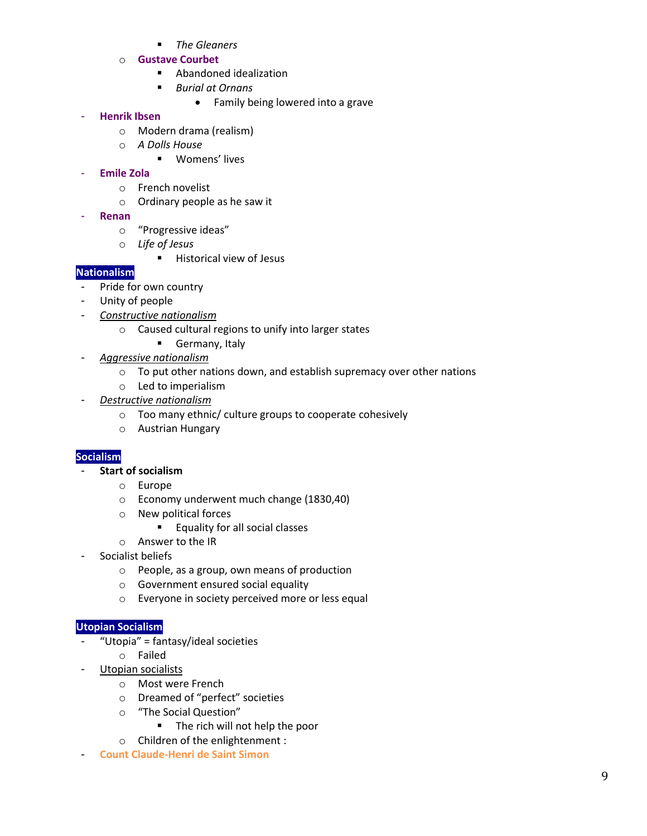- *The Gleaners*
- o **Gustave Courbet**
	- Abandoned idealization
	- *Burial at Ornans* 
		- Family being lowered into a grave

# - **Henrik Ibsen**

- o Modern drama (realism)
- o *A Dolls House*
	- Womens' lives

# - **Emile Zola**

- o French novelist
- o Ordinary people as he saw it
- **Renan** 
	- o "Progressive ideas"
	- o *Life of Jesus* 
		- **Historical view of Jesus**

# **Nationalism**

- Pride for own country
- Unity of people
- *Constructive nationalism* 
	- o Caused cultural regions to unify into larger states
		- Germany, Italy
- *Aggressive nationalism* 
	- o To put other nations down, and establish supremacy over other nations
	- o Led to imperialism
- *Destructive nationalism* 
	- o Too many ethnic/ culture groups to cooperate cohesively
	- o Austrian Hungary

# **Socialism**

- **Start of socialism** 
	- o Europe
	- o Economy underwent much change (1830,40)
	- o New political forces
		- **Equality for all social classes**
	- o Answer to the IR
- Socialist beliefs
	- o People, as a group, own means of production
	- o Government ensured social equality
	- o Everyone in society perceived more or less equal

# **Utopian Socialism**

- "Utopia" = fantasy/ideal societies
	- o Failed
- Utopian socialists
	- o Most were French
	- o Dreamed of "perfect" societies
	- o "The Social Question"
		- **The rich will not help the poor**
	- o Children of the enlightenment :
- **Count Claude-Henri de Saint Simon**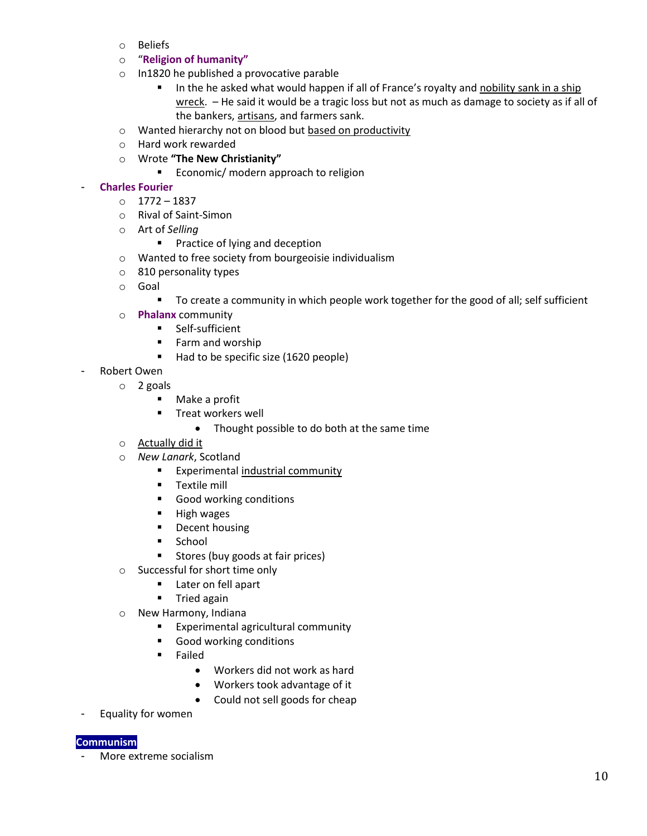- o Beliefs
- o "**Religion of humanity"**
- o In1820 he published a provocative parable
	- In the he asked what would happen if all of France's royalty and nobility sank in a ship wreck. – He said it would be a tragic loss but not as much as damage to society as if all of the bankers, artisans, and farmers sank.
- o Wanted hierarchy not on blood but based on productivity
- o Hard work rewarded
- o Wrote **"The New Christianity"**
	- **Example 1** Economic/ modern approach to religion

#### - **Charles Fourier**

- o 1772 1837
- o Rival of Saint-Simon
- o Art of *Selling*
	- **Practice of lying and deception**
- o Wanted to free society from bourgeoisie individualism
- o 810 personality types
- o Goal
	- To create a community in which people work together for the good of all; self sufficient
- o **Phalanx** community
	- **Self-sufficient**
	- **Farm and worship**
	- Had to be specific size (1620 people)
- Robert Owen
	- o 2 goals
		- Make a profit
		- **Treat workers well** 
			- Thought possible to do both at the same time
	- o Actually did it
	- o *New Lanark*, Scotland
		- **Experimental industrial community**
		- **Textile mill**
		- **Good working conditions**
		- **High wages**
		- **Decent housing**
		- **School**
		- **Stores (buy goods at fair prices)**
	- o Successful for short time only
		- **Later on fell apart**
		- **Tried again**
	- o New Harmony, Indiana
		- **Experimental agricultural community**
		- **Good working conditions**
		- **Failed** 
			- Workers did not work as hard
			- Workers took advantage of it
			- Could not sell goods for cheap
- Equality for women

# **Communism**

- More extreme socialism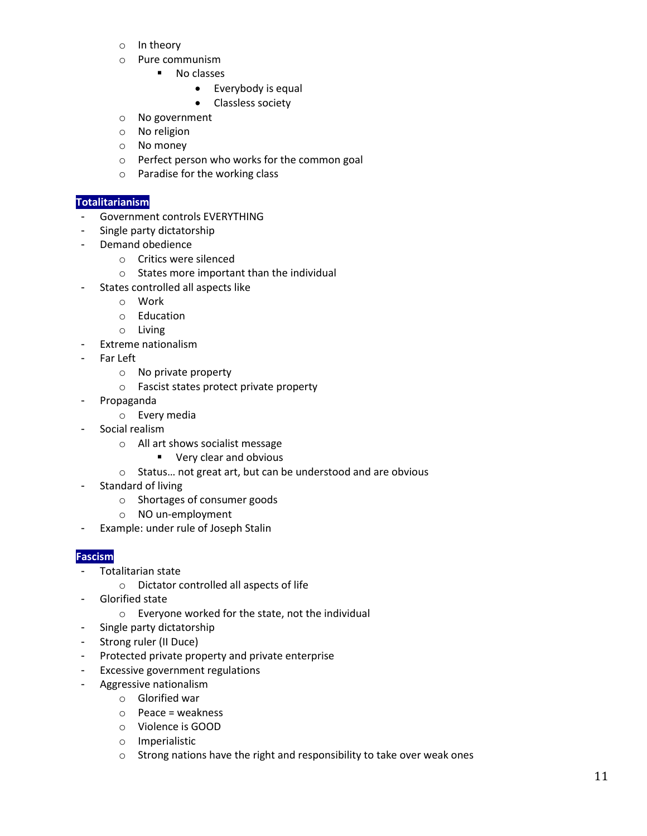- o In theory
- o Pure communism
	- **No classes** 
		- Everybody is equal
		- Classless society
- o No government
- o No religion
- o No money
- o Perfect person who works for the common goal
- o Paradise for the working class

#### **Totalitarianism**

- Government controls EVERYTHING
- Single party dictatorship
- Demand obedience
	- o Critics were silenced
	- o States more important than the individual
- States controlled all aspects like
	- o Work
	- o Education
	- o Living
- Extreme nationalism
- Far Left
	- o No private property
	- o Fascist states protect private property
- Propaganda
	- o Every media
- Social realism
	- o All art shows socialist message
		- **Very clear and obvious**
	- o Status… not great art, but can be understood and are obvious
- Standard of living
	- o Shortages of consumer goods
	- o NO un-employment
- Example: under rule of Joseph Stalin

#### **Fascism**

- Totalitarian state
	- o Dictator controlled all aspects of life
- Glorified state
	- o Everyone worked for the state, not the individual
- Single party dictatorship
- Strong ruler (II Duce)
- Protected private property and private enterprise
- Excessive government regulations
- Aggressive nationalism
	- o Glorified war
	- o Peace = weakness
	- o Violence is GOOD
	- o Imperialistic
	- o Strong nations have the right and responsibility to take over weak ones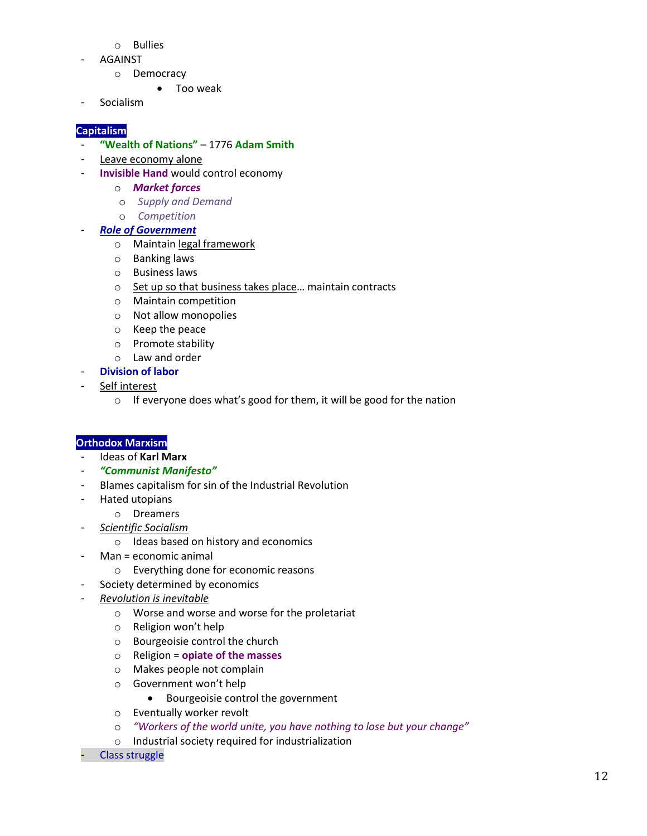- o Bullies
- AGAINST
	- o Democracy
		- Too weak
- Socialism

# **Capitalism**

- **"Wealth of Nations"** 1776 **Adam Smith**
- Leave economy alone
- **Invisible Hand** would control economy
	- o *Market forces*
	- o *Supply and Demand*
	- o *Competition*
- *Role of Government* 
	- o Maintain legal framework
	- o Banking laws
	- o Business laws
	- o Set up so that business takes place... maintain contracts
	- o Maintain competition
	- o Not allow monopolies
	- o Keep the peace
	- o Promote stability
	- o Law and order
- **Division of labor**
- Self interest
	- o If everyone does what's good for them, it will be good for the nation

# **Orthodox Marxism**

- Ideas of **Karl Marx**
- *"Communist Manifesto"*
- Blames capitalism for sin of the Industrial Revolution
- Hated utopians
	- o Dreamers
- *Scientific Socialism* 
	- o Ideas based on history and economics
- Man = economic animal
	- o Everything done for economic reasons
- Society determined by economics
- *Revolution is inevitable* 
	- o Worse and worse and worse for the proletariat
	- o Religion won't help
	- o Bourgeoisie control the church
	- o Religion = **opiate of the masses**
	- o Makes people not complain
	- o Government won't help
		- Bourgeoisie control the government
	- o Eventually worker revolt
	- o *"Workers of the world unite, you have nothing to lose but your change"*
	- o Industrial society required for industrialization
- Class struggle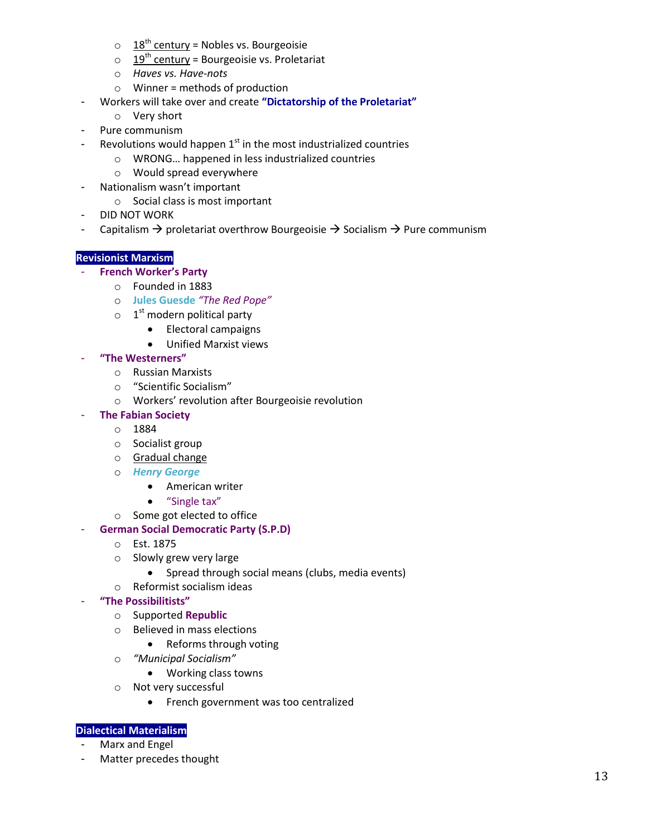- $\circ$  18<sup>th</sup> century = Nobles vs. Bourgeoisie
- $\circ$  19<sup>th</sup> century = Bourgeoisie vs. Proletariat
- o *Haves vs. Have-nots*
- $\circ$  Winner = methods of production
- Workers will take over and create **"Dictatorship of the Proletariat"**
	- o Very short
- Pure communism
- Revolutions would happen  $1<sup>st</sup>$  in the most industrialized countries
	- o WRONG… happened in less industrialized countries
	- o Would spread everywhere
- Nationalism wasn't important
	- o Social class is most important
- DID NOT WORK
- Capitalism  $\rightarrow$  proletariat overthrow Bourgeoisie  $\rightarrow$  Socialism  $\rightarrow$  Pure communism

# **Revisionist Marxism**

- **French Worker's Party**
	- o Founded in 1883
	- o **Jules Guesde** *"The Red Pope"*
	- $\circ$  1<sup>st</sup> modern political party
		- Electoral campaigns
		- Unified Marxist views

#### - **"The Westerners"**

- o Russian Marxists
- o "Scientific Socialism"
- o Workers' revolution after Bourgeoisie revolution

# - **The Fabian Society**

- o 1884
- o Socialist group
- o Gradual change
- o *Henry George*
	- American writer
		- "Single tax"
- o Some got elected to office

#### **German Social Democratic Party (S.P.D)**

- o Est. 1875
- o Slowly grew very large
	- Spread through social means (clubs, media events)
- o Reformist socialism ideas
- **"The Possibilitists"**
	- o Supported **Republic**
	- o Believed in mass elections
		- Reforms through voting
	- o *"Municipal Socialism"*
		- Working class towns
	- o Not very successful
		- **•** French government was too centralized

#### **Dialectical Materialism**

- Marx and Engel
- Matter precedes thought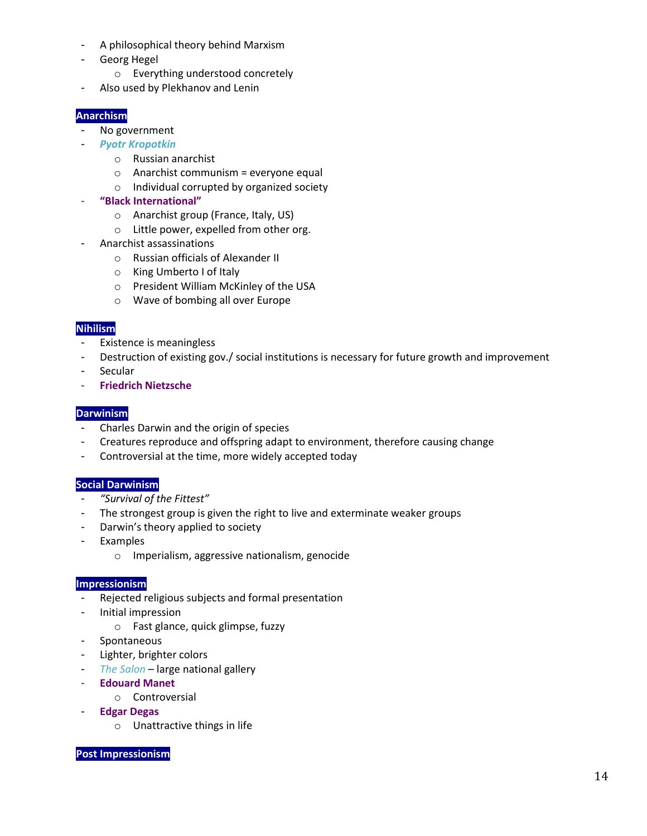- A philosophical theory behind Marxism
- Georg Hegel
	- o Everything understood concretely
- Also used by Plekhanov and Lenin

# **Anarchism**

- No government
- *Pyotr Kropotkin* 
	- o Russian anarchist
	- $\circ$  Anarchist communism = everyone equal
	- o Individual corrupted by organized society
- **"Black International"**
	- o Anarchist group (France, Italy, US)
	- o Little power, expelled from other org.
- Anarchist assassinations
	- o Russian officials of Alexander II
	- o King Umberto I of Italy
	- o President William McKinley of the USA
	- o Wave of bombing all over Europe

# **Nihilism**

- Existence is meaningless
- Destruction of existing gov./ social institutions is necessary for future growth and improvement
- Secular
- **Friedrich Nietzsche**

# **Darwinism**

- Charles Darwin and the origin of species
- Creatures reproduce and offspring adapt to environment, therefore causing change
- Controversial at the time, more widely accepted today

# **Social Darwinism**

- *"Survival of the Fittest"*
- The strongest group is given the right to live and exterminate weaker groups
- Darwin's theory applied to society
- Examples
	- o Imperialism, aggressive nationalism, genocide

# **Impressionism**

- Rejected religious subjects and formal presentation
- Initial impression
	- o Fast glance, quick glimpse, fuzzy
- **Spontaneous**
- Lighter, brighter colors
- *The Salon* large national gallery
- **Edouard Manet**
	- o Controversial
- **Edgar Degas** 
	- o Unattractive things in life

#### **Post Impressionism**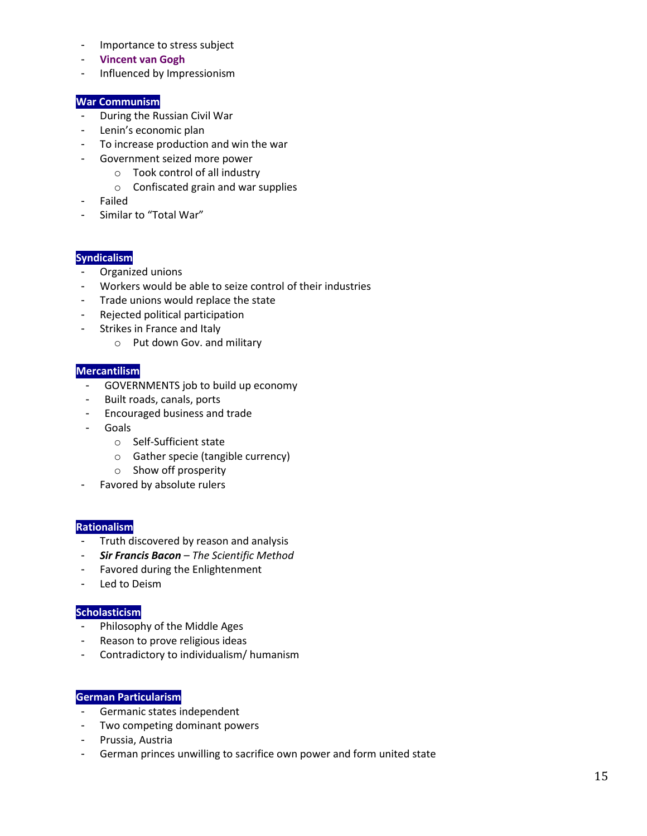- Importance to stress subject
- **Vincent van Gogh**
- Influenced by Impressionism

#### **War Communism**

- During the Russian Civil War
- Lenin's economic plan
- To increase production and win the war
- Government seized more power
	- o Took control of all industry
	- o Confiscated grain and war supplies
- Failed
- Similar to "Total War"

#### **Syndicalism**

- Organized unions
- Workers would be able to seize control of their industries
- Trade unions would replace the state
- Rejected political participation
- Strikes in France and Italy
	- o Put down Gov. and military

#### **Mercantilism**

- GOVERNMENTS job to build up economy
- Built roads, canals, ports
- Encouraged business and trade
- **Goals** 
	- o Self-Sufficient state
	- o Gather specie (tangible currency)
	- o Show off prosperity
- Favored by absolute rulers

#### **Rationalism**

- Truth discovered by reason and analysis
- *Sir Francis Bacon The Scientific Method*
- Favored during the Enlightenment
- Led to Deism

# **Scholasticism**

- Philosophy of the Middle Ages
- Reason to prove religious ideas
- Contradictory to individualism/ humanism

#### **German Particularism**

- Germanic states independent
- Two competing dominant powers
- Prussia, Austria
- German princes unwilling to sacrifice own power and form united state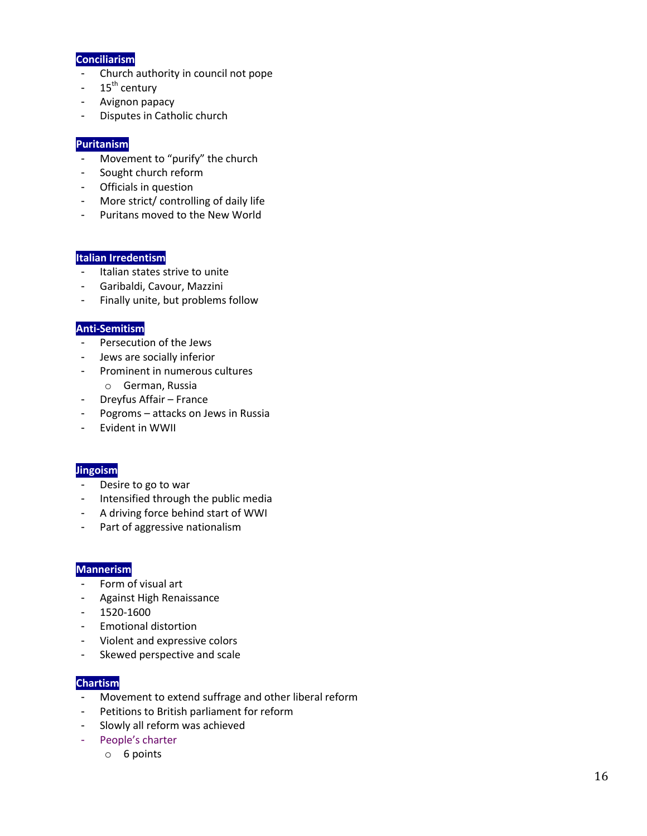#### **Conciliarism**

- Church authority in council not pope
- $-15^{th}$  century
- Avignon papacy
- Disputes in Catholic church

# **Puritanism**

- Movement to "purify" the church
- Sought church reform
- Officials in question
- More strict/ controlling of daily life
- Puritans moved to the New World

# **Italian Irredentism**

- Italian states strive to unite
- Garibaldi, Cavour, Mazzini
- Finally unite, but problems follow

# **Anti-Semitism**

- Persecution of the Jews
- Jews are socially inferior
- Prominent in numerous cultures
	- o German, Russia
- Dreyfus Affair France
- Pogroms attacks on Jews in Russia
- Evident in WWII

#### **Jingoism**

- Desire to go to war
- Intensified through the public media
- A driving force behind start of WWI
- Part of aggressive nationalism

#### **Mannerism**

- Form of visual art
- Against High Renaissance
- 1520-1600
- Emotional distortion
- Violent and expressive colors
- Skewed perspective and scale

#### **Chartism**

- Movement to extend suffrage and other liberal reform
- Petitions to British parliament for reform
- Slowly all reform was achieved
- People's charter
	- o 6 points